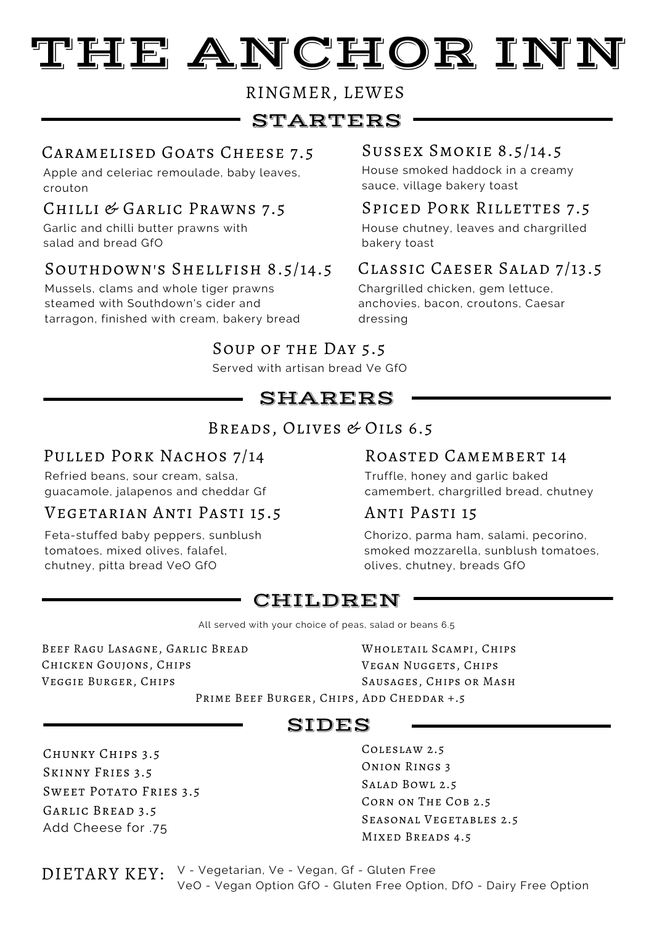# TEE ANCHOR INN

RINGMER, LEWES

# STARTERS

## Caramelised Goats Cheese 7.5 Sussex Smokie 8.5/14.5

Apple and celeriac remoulade, baby leaves, crouton

# Chilli & Garlic Prawns 7.5 Spiced Pork Rillettes 7.5

Garlic and chilli butter prawns with salad and bread GfO

## Southdown's Shellfish 8.5/14.5

Mussels, clams and whole tiger prawns steamed with Southdown's cider and tarragon, finished with cream, bakery bread

House smoked haddock in a creamy sauce, village bakery toast

House chutney, leaves and chargrilled bakery toast

# Classic Caeser Salad 7/13.5

Chargrilled chicken, gem lettuce, anchovies, bacon, croutons, Caesar dressing

# Soup of the Day 5.5

Served with artisan bread Ve GfO

# SHARERS

## Breads, Olives & Oils 6.5

# PULLED PORK NACHOS 7/14

Refried beans, sour cream, salsa, guacamole, jalapenos and cheddar Gf

### Vegetarian Anti Pasti 15.5

Feta-stuffed baby peppers, sunblush tomatoes, mixed olives, falafel, chutney, pitta bread VeO GfO

## Roasted Camembert 14

Truffle, honey and garlic baked camembert, chargrilled bread, chutney

### Anti Pasti 15

Chorizo, parma ham, salami, pecorino, smoked mozzarella, sunblush tomatoes, olives, chutney, breads GfO

# CHILDREN

All served with your choice of peas, salad or beans 6.5

Beef Ragu Lasagne, Garlic Bread Chicken Goujons, Chips Veggie Burger, Chips

Wholetail Scampi, Chips Vegan Nuggets, Chips Sausages, Chips or Mash

Prime Beef Burger, Chips, Add Cheddar +.5

# SIDES

Chunky Chips 3.5 Skinny Fries 3.5 Sweet Potato Fries 3.5 Garlic Bread 3.5 Add Cheese for .75

Coleslaw 2.5 Onion Rings 3 Salad Bowl 2.5 Corn on The Cob 2.5 Seasonal Vegetables 2.5 Mixed Breads 4.5

DIETARY KEY: V - Vegetarian, Ve - Vegan, Gf - Gluten Free VeO - Vegan Option GfO - Gluten Free Option, DfO - Dairy Free Option